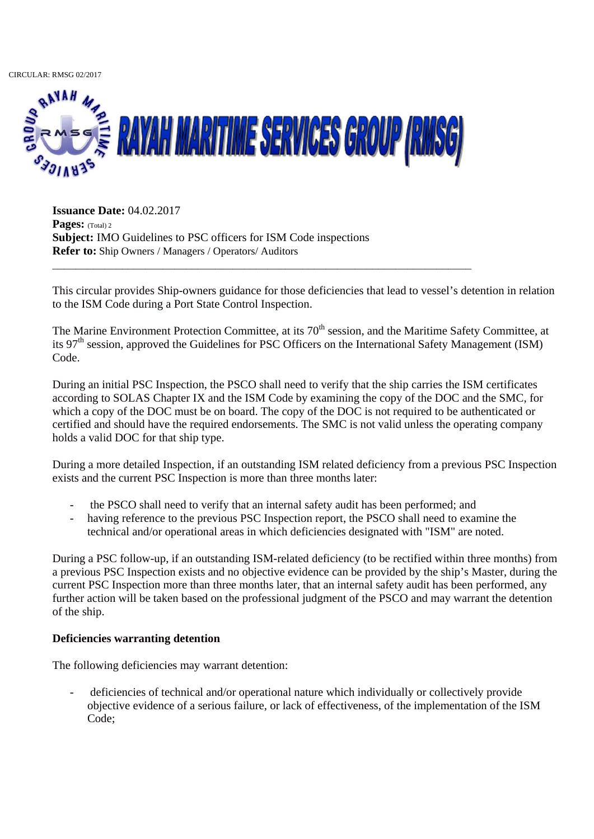CIRCULAR: RMSG 02/2017



\_\_\_\_\_\_\_\_\_\_\_\_\_\_\_\_\_\_\_\_\_\_\_\_\_\_\_\_\_\_\_\_\_\_\_\_\_\_\_\_\_\_\_\_\_\_\_\_\_\_\_\_\_\_\_\_\_\_\_\_\_\_\_\_\_\_\_\_\_\_\_\_

**Issuance Date:** 04.02.2017 **Pages:** (Total) 2 **Subject:** IMO Guidelines to PSC officers for ISM Code inspections **Refer to:** Ship Owners / Managers / Operators/ Auditors

This circular provides Ship-owners guidance for those deficiencies that lead to vessel's detention in relation to the ISM Code during a Port State Control Inspection.

The Marine Environment Protection Committee, at its 70<sup>th</sup> session, and the Maritime Safety Committee, at its 97<sup>th</sup> session, approved the Guidelines for PSC Officers on the International Safety Management (ISM) Code.

During an initial PSC Inspection, the PSCO shall need to verify that the ship carries the ISM certificates according to SOLAS Chapter IX and the ISM Code by examining the copy of the DOC and the SMC, for which a copy of the DOC must be on board. The copy of the DOC is not required to be authenticated or certified and should have the required endorsements. The SMC is not valid unless the operating company holds a valid DOC for that ship type.

During a more detailed Inspection, if an outstanding ISM related deficiency from a previous PSC Inspection exists and the current PSC Inspection is more than three months later:

- the PSCO shall need to verify that an internal safety audit has been performed; and
- having reference to the previous PSC Inspection report, the PSCO shall need to examine the technical and/or operational areas in which deficiencies designated with "ISM" are noted.

During a PSC follow-up, if an outstanding ISM-related deficiency (to be rectified within three months) from a previous PSC Inspection exists and no objective evidence can be provided by the ship's Master, during the current PSC Inspection more than three months later, that an internal safety audit has been performed, any further action will be taken based on the professional judgment of the PSCO and may warrant the detention of the ship.

# **Deficiencies warranting detention**

The following deficiencies may warrant detention:

- deficiencies of technical and/or operational nature which individually or collectively provide objective evidence of a serious failure, or lack of effectiveness, of the implementation of the ISM Code;